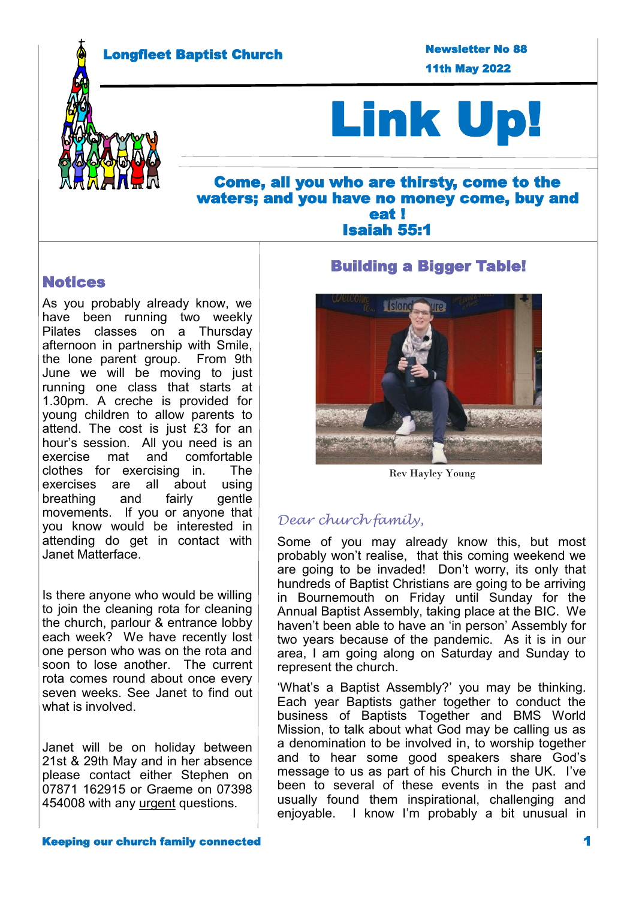Longfleet Baptist Church

11th May 2022 Newsletter No 88



# Link Up!

## Come, all you who are thirsty, come to the waters; and you have no money come, buy and eat ! Isaiah 55:1

## Notices

As you probably already know, we have been running two weekly Pilates classes on a Thursday afternoon in partnership with Smile, the lone parent group. From 9th June we will be moving to just running one class that starts at 1.30pm. A creche is provided for young children to allow parents to attend. The cost is just £3 for an hour's session. All you need is an exercise mat and comfortable clothes for exercising in. The exercises are all about using breathing and fairly gentle movements. If you or anyone that you know would be interested in attending do get in contact with Janet Matterface.

Is there anyone who would be willing to join the cleaning rota for cleaning the church, parlour & entrance lobby each week? We have recently lost one person who was on the rota and soon to lose another. The current rota comes round about once every seven weeks. See Janet to find out what is involved.

Janet will be on holiday between 21st & 29th May and in her absence please contact either Stephen on 07871 162915 or Graeme on 07398 454008 with any urgent questions.

## Building a Bigger Table!



Rev Hayley Young

## *Dear church family,*

Some of you may already know this, but most probably won't realise, that this coming weekend we are going to be invaded! Don't worry, its only that hundreds of Baptist Christians are going to be arriving in Bournemouth on Friday until Sunday for the Annual Baptist Assembly, taking place at the BIC. We haven't been able to have an 'in person' Assembly for two years because of the pandemic. As it is in our area, I am going along on Saturday and Sunday to represent the church.

'What's a Baptist Assembly?' you may be thinking. Each year Baptists gather together to conduct the business of Baptists Together and BMS World Mission, to talk about what God may be calling us as a denomination to be involved in, to worship together and to hear some good speakers share God's message to us as part of his Church in the UK. I've been to several of these events in the past and usually found them inspirational, challenging and enjoyable. I know I'm probably a bit unusual in